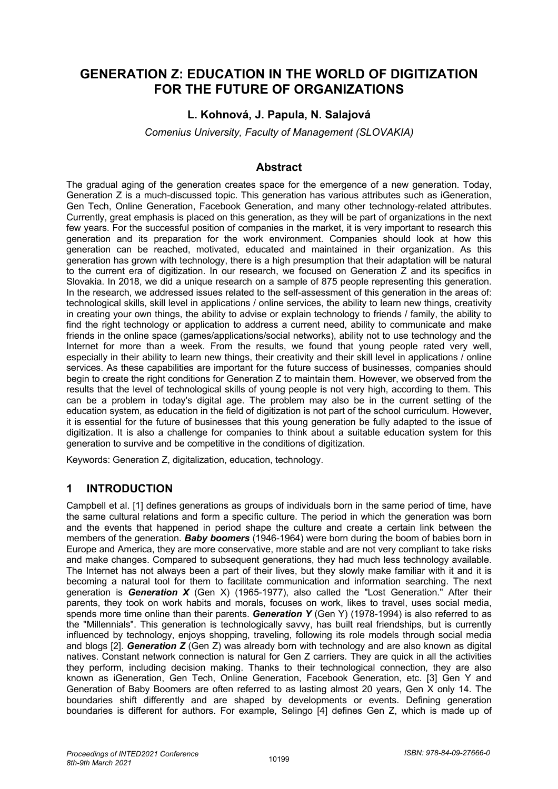# **GENERATION Z: EDUCATION IN THE WORLD OF DIGITIZATION FOR THE FUTURE OF ORGANIZATIONS**

### **L. Kohnová, J. Papula, N. Salajová**

*Comenius University, Faculty of Management (SLOVAKIA)*

#### **Abstract**

The gradual aging of the generation creates space for the emergence of a new generation. Today, Generation Z is a much-discussed topic. This generation has various attributes such as iGeneration, Gen Tech, Online Generation, Facebook Generation, and many other technology-related attributes. Currently, great emphasis is placed on this generation, as they will be part of organizations in the next few years. For the successful position of companies in the market, it is very important to research this generation and its preparation for the work environment. Companies should look at how this generation can be reached, motivated, educated and maintained in their organization. As this generation has grown with technology, there is a high presumption that their adaptation will be natural to the current era of digitization. In our research, we focused on Generation Z and its specifics in Slovakia. In 2018, we did a unique research on a sample of 875 people representing this generation. In the research, we addressed issues related to the self-assessment of this generation in the areas of: technological skills, skill level in applications / online services, the ability to learn new things, creativity in creating your own things, the ability to advise or explain technology to friends / family, the ability to find the right technology or application to address a current need, ability to communicate and make friends in the online space (games/applications/social networks), ability not to use technology and the Internet for more than a week. From the results, we found that young people rated very well, especially in their ability to learn new things, their creativity and their skill level in applications / online services. As these capabilities are important for the future success of businesses, companies should begin to create the right conditions for Generation Z to maintain them. However, we observed from the results that the level of technological skills of young people is not very high, according to them. This can be a problem in today's digital age. The problem may also be in the current setting of the education system, as education in the field of digitization is not part of the school curriculum. However, it is essential for the future of businesses that this young generation be fully adapted to the issue of digitization. It is also a challenge for companies to think about a suitable education system for this generation to survive and be competitive in the conditions of digitization.

Keywords: Generation Z, digitalization, education, technology.

### **1 INTRODUCTION**

Campbell et al. [1] defines generations as groups of individuals born in the same period of time, have the same cultural relations and form a specific culture. The period in which the generation was born and the events that happened in period shape the culture and create a certain link between the members of the generation. *Baby boomers* (1946-1964) were born during the boom of babies born in Europe and America, they are more conservative, more stable and are not very compliant to take risks and make changes. Compared to subsequent generations, they had much less technology available. The Internet has not always been a part of their lives, but they slowly make familiar with it and it is becoming a natural tool for them to facilitate communication and information searching. The next generation is *Generation X* (Gen X) (1965-1977), also called the "Lost Generation." After their parents, they took on work habits and morals, focuses on work, likes to travel, uses social media, spends more time online than their parents. *Generation Y* (Gen Y) (1978-1994) is also referred to as the "Millennials". This generation is technologically savvy, has built real friendships, but is currently influenced by technology, enjoys shopping, traveling, following its role models through social media and blogs [2]. *Generation Z* (Gen Z) was already born with technology and are also known as digital natives. Constant network connection is natural for Gen Z carriers. They are quick in all the activities they perform, including decision making. Thanks to their technological connection, they are also known as iGeneration, Gen Tech, Online Generation, Facebook Generation, etc. [3] Gen Y and Generation of Baby Boomers are often referred to as lasting almost 20 years, Gen X only 14. The boundaries shift differently and are shaped by developments or events. Defining generation boundaries is different for authors. For example, Selingo [4] defines Gen Z, which is made up of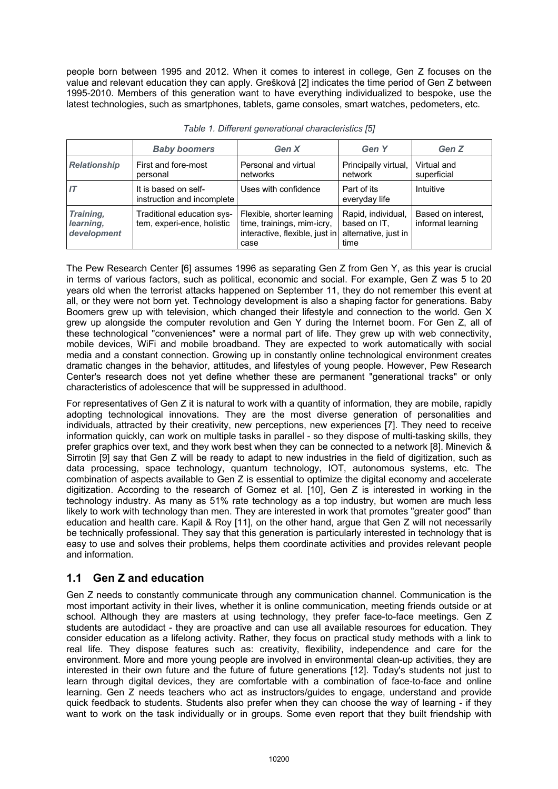people born between 1995 and 2012. When it comes to interest in college, Gen Z focuses on the value and relevant education they can apply. Grešková [2] indicates the time period of Gen Z between 1995-2010. Members of this generation want to have everything individualized to bespoke, use the latest technologies, such as smartphones, tablets, game consoles, smart watches, pedometers, etc.

|                                       | <b>Baby boomers</b>                                      | Gen X                                                                                              | <b>Gen Y</b>                                                       | Gen Z                                   |  |
|---------------------------------------|----------------------------------------------------------|----------------------------------------------------------------------------------------------------|--------------------------------------------------------------------|-----------------------------------------|--|
| <b>Relationship</b>                   | First and fore-most<br>personal                          | Personal and virtual<br>networks                                                                   | Principally virtual,<br>network                                    | Virtual and<br>superficial              |  |
|                                       | It is based on self-<br>instruction and incomplete       | Uses with confidence                                                                               | Part of its<br>everyday life                                       | Intuitive                               |  |
| Training,<br>learning,<br>development | Traditional education sys-<br>tem, experi-ence, holistic | Flexible, shorter learning<br>time, trainings, mim-icry,<br>interactive, flexible, just in<br>case | Rapid, individual,<br>based on IT,<br>alternative, just in<br>time | Based on interest,<br>informal learning |  |

*Table 1. Different generational characteristics [5]*

The Pew Research Center [6] assumes 1996 as separating Gen Z from Gen Y, as this year is crucial in terms of various factors, such as political, economic and social. For example, Gen Z was 5 to 20 years old when the terrorist attacks happened on September 11, they do not remember this event at all, or they were not born yet. Technology development is also a shaping factor for generations. Baby Boomers grew up with television, which changed their lifestyle and connection to the world. Gen X grew up alongside the computer revolution and Gen Y during the Internet boom. For Gen Z, all of these technological "conveniences" were a normal part of life. They grew up with web connectivity, mobile devices, WiFi and mobile broadband. They are expected to work automatically with social media and a constant connection. Growing up in constantly online technological environment creates dramatic changes in the behavior, attitudes, and lifestyles of young people. However, Pew Research Center's research does not yet define whether these are permanent "generational tracks" or only characteristics of adolescence that will be suppressed in adulthood.

For representatives of Gen Z it is natural to work with a quantity of information, they are mobile, rapidly adopting technological innovations. They are the most diverse generation of personalities and individuals, attracted by their creativity, new perceptions, new experiences [7]. They need to receive information quickly, can work on multiple tasks in parallel - so they dispose of multi-tasking skills, they prefer graphics over text, and they work best when they can be connected to a network [8]. Minevich & Sirrotin [9] say that Gen Z will be ready to adapt to new industries in the field of digitization, such as data processing, space technology, quantum technology, IOT, autonomous systems, etc. The combination of aspects available to Gen Z is essential to optimize the digital economy and accelerate digitization. According to the research of Gomez et al. [10], Gen Z is interested in working in the technology industry. As many as 51% rate technology as a top industry, but women are much less likely to work with technology than men. They are interested in work that promotes "greater good" than education and health care. Kapil & Roy [11], on the other hand, argue that Gen Z will not necessarily be technically professional. They say that this generation is particularly interested in technology that is easy to use and solves their problems, helps them coordinate activities and provides relevant people and information.

### **1.1 Gen Z and education**

Gen Z needs to constantly communicate through any communication channel. Communication is the most important activity in their lives, whether it is online communication, meeting friends outside or at school. Although they are masters at using technology, they prefer face-to-face meetings. Gen Z students are autodidact - they are proactive and can use all available resources for education. They consider education as a lifelong activity. Rather, they focus on practical study methods with a link to real life. They dispose features such as: creativity, flexibility, independence and care for the environment. More and more young people are involved in environmental clean-up activities, they are interested in their own future and the future of future generations [12]. Today's students not just to learn through digital devices, they are comfortable with a combination of face-to-face and online learning. Gen Z needs teachers who act as instructors/guides to engage, understand and provide quick feedback to students. Students also prefer when they can choose the way of learning - if they want to work on the task individually or in groups. Some even report that they built friendship with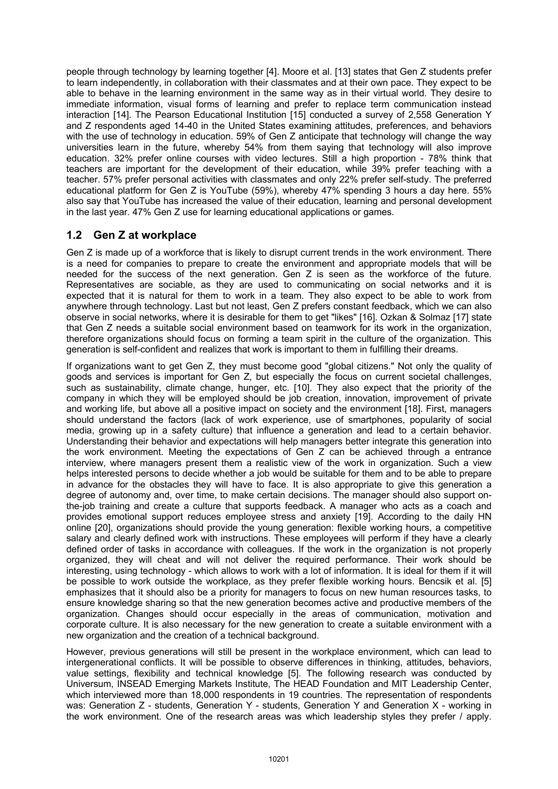people through technology by learning together [4]. Moore et al. [13] states that Gen Z students prefer to learn independently, in collaboration with their classmates and at their own pace. They expect to be able to behave in the learning environment in the same way as in their virtual world. They desire to immediate information, visual forms of learning and prefer to replace term communication instead interaction [14]. The Pearson Educational Institution [15] conducted a survey of 2,558 Generation Y and Z respondents aged 14-40 in the United States examining attitudes, preferences, and behaviors with the use of technology in education. 59% of Gen Z anticipate that technology will change the way universities learn in the future, whereby 54% from them saying that technology will also improve education. 32% prefer online courses with video lectures. Still a high proportion - 78% think that teachers are important for the development of their education, while 39% prefer teaching with a teacher. 57% prefer personal activities with classmates and only 22% prefer self-study. The preferred educational platform for Gen Z is YouTube (59%), whereby 47% spending 3 hours a day here. 55% also say that YouTube has increased the value of their education, learning and personal development in the last year. 47% Gen Z use for learning educational applications or games.

### **1.2 Gen Z at workplace**

Gen Z is made up of a workforce that is likely to disrupt current trends in the work environment. There is a need for companies to prepare to create the environment and appropriate models that will be needed for the success of the next generation. Gen Z is seen as the workforce of the future. Representatives are sociable, as they are used to communicating on social networks and it is expected that it is natural for them to work in a team. They also expect to be able to work from anywhere through technology. Last but not least, Gen Z prefers constant feedback, which we can also observe in social networks, where it is desirable for them to get "likes" [16]. Ozkan & Solmaz [17] state that Gen Z needs a suitable social environment based on teamwork for its work in the organization, therefore organizations should focus on forming a team spirit in the culture of the organization. This generation is self-confident and realizes that work is important to them in fulfilling their dreams.

If organizations want to get Gen Z, they must become good "global citizens." Not only the quality of goods and services is important for Gen Z, but especially the focus on current societal challenges, such as sustainability, climate change, hunger, etc. [10]. They also expect that the priority of the company in which they will be employed should be job creation, innovation, improvement of private and working life, but above all a positive impact on society and the environment [18]. First, managers should understand the factors (lack of work experience, use of smartphones, popularity of social media, growing up in a safety culture) that influence a generation and lead to a certain behavior. Understanding their behavior and expectations will help managers better integrate this generation into the work environment. Meeting the expectations of Gen Z can be achieved through a entrance interview, where managers present them a realistic view of the work in organization. Such a view helps interested persons to decide whether a job would be suitable for them and to be able to prepare in advance for the obstacles they will have to face. It is also appropriate to give this generation a degree of autonomy and, over time, to make certain decisions. The manager should also support onthe-job training and create a culture that supports feedback. A manager who acts as a coach and provides emotional support reduces employee stress and anxiety [19]. According to the daily HN online [20], organizations should provide the young generation: flexible working hours, a competitive salary and clearly defined work with instructions. These employees will perform if they have a clearly defined order of tasks in accordance with colleagues. If the work in the organization is not properly organized, they will cheat and will not deliver the required performance. Their work should be interesting, using technology - which allows to work with a lot of information. It is ideal for them if it will be possible to work outside the workplace, as they prefer flexible working hours. Bencsik et al. [5] emphasizes that it should also be a priority for managers to focus on new human resources tasks, to ensure knowledge sharing so that the new generation becomes active and productive members of the organization. Changes should occur especially in the areas of communication, motivation and corporate culture. It is also necessary for the new generation to create a suitable environment with a new organization and the creation of a technical background.

However, previous generations will still be present in the workplace environment, which can lead to intergenerational conflicts. It will be possible to observe differences in thinking, attitudes, behaviors, value settings, flexibility and technical knowledge [5]. The following research was conducted by Universum, INSEAD Emerging Markets Institute, The HEAD Foundation and MIT Leadership Center, which interviewed more than 18,000 respondents in 19 countries. The representation of respondents was: Generation Z - students, Generation Y - students, Generation Y and Generation X - working in the work environment. One of the research areas was which leadership styles they prefer / apply.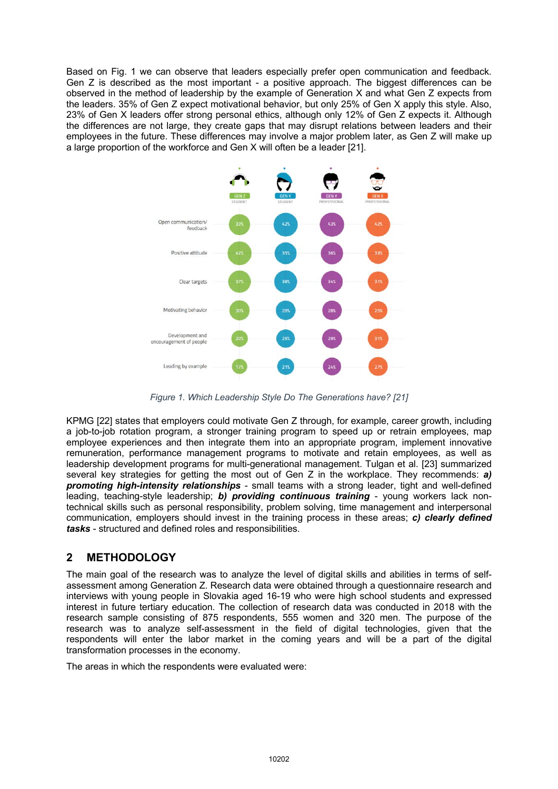Based on Fig. 1 we can observe that leaders especially prefer open communication and feedback. Gen Z is described as the most important - a positive approach. The biggest differences can be observed in the method of leadership by the example of Generation X and what Gen Z expects from the leaders. 35% of Gen Z expect motivational behavior, but only 25% of Gen X apply this style. Also, 23% of Gen X leaders offer strong personal ethics, although only 12% of Gen Z expects it. Although the differences are not large, they create gaps that may disrupt relations between leaders and their employees in the future. These differences may involve a major problem later, as Gen Z will make up a large proportion of the workforce and Gen X will often be a leader [21].



*Figure 1. Which Leadership Style Do The Generations have? [21]*

KPMG [22] states that employers could motivate Gen Z through, for example, career growth, including a job-to-job rotation program, a stronger training program to speed up or retrain employees, map employee experiences and then integrate them into an appropriate program, implement innovative remuneration, performance management programs to motivate and retain employees, as well as leadership development programs for multi-generational management. Tulgan et al. [23] summarized several key strategies for getting the most out of Gen Z in the workplace. They recommends: *a) promoting high-intensity relationships* - small teams with a strong leader, tight and well-defined leading, teaching-style leadership; *b) providing continuous training* - young workers lack nontechnical skills such as personal responsibility, problem solving, time management and interpersonal communication, employers should invest in the training process in these areas; *c) clearly defined tasks* - structured and defined roles and responsibilities.

## **2 METHODOLOGY**

The main goal of the research was to analyze the level of digital skills and abilities in terms of selfassessment among Generation Z. Research data were obtained through a questionnaire research and interviews with young people in Slovakia aged 16-19 who were high school students and expressed interest in future tertiary education. The collection of research data was conducted in 2018 with the research sample consisting of 875 respondents, 555 women and 320 men. The purpose of the research was to analyze self-assessment in the field of digital technologies, given that the respondents will enter the labor market in the coming years and will be a part of the digital transformation processes in the economy.

The areas in which the respondents were evaluated were: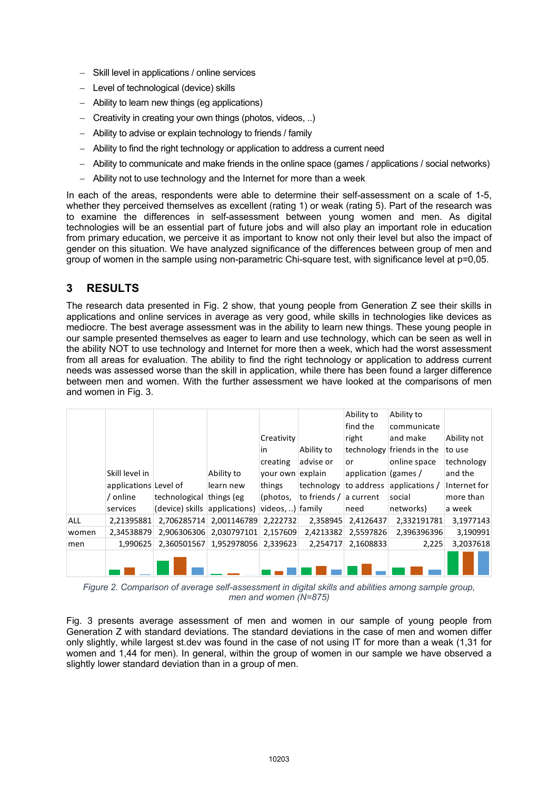- Skill level in applications / online services
- Level of technological (device) skills
- Ability to learn new things (eq applications)
- Creativity in creating your own things (photos, videos, ..)
- Ability to advise or explain technology to friends / family
- Ability to find the right technology or application to address a current need
- Ability to communicate and make friends in the online space (games / applications / social networks)
- Ability not to use technology and the Internet for more than a week

In each of the areas, respondents were able to determine their self-assessment on a scale of 1-5, whether they perceived themselves as excellent (rating 1) or weak (rating 5). Part of the research was to examine the differences in self-assessment between young women and men. As digital technologies will be an essential part of future jobs and will also play an important role in education from primary education, we perceive it as important to know not only their level but also the impact of gender on this situation. We have analyzed significance of the differences between group of men and group of women in the sample using non-parametric Chi-square test, with significance level at p=0,05.

### **3 RESULTS**

The research data presented in Fig. 2 show, that young people from Generation Z see their skills in applications and online services in average as very good, while skills in technologies like devices as mediocre. The best average assessment was in the ability to learn new things. These young people in our sample presented themselves as eager to learn and use technology, which can be seen as well in the ability NOT to use technology and Internet for more then a week, which had the worst assessment from all areas for evaluation. The ability to find the right technology or application to address current needs was assessed worse than the skill in application, while there has been found a larger difference between men and women. With the further assessment we have looked at the comparisons of men and women in Fig. 3.

|            |                       |               |                                                            |                  |              | Ability to           | Ability to                  |              |
|------------|-----------------------|---------------|------------------------------------------------------------|------------------|--------------|----------------------|-----------------------------|--------------|
|            |                       |               |                                                            |                  |              | find the             | communicate                 |              |
|            |                       |               |                                                            | Creativity       |              | right                | and make                    | Ability not  |
|            |                       |               |                                                            | in               | Ability to   |                      | technology friends in the   | to use       |
|            |                       |               |                                                            | creating         | advise or    | or                   | online space                | technology   |
|            | Skill level in        |               | Ability to                                                 | your own explain |              | application (games / |                             | and the      |
|            | applications Level of |               | learn new                                                  | things           | technology   |                      | to address applications $/$ | Internet for |
|            | / online              | technological | things (eg                                                 | (photos,         | to friends / | a current            | social                      | more than    |
|            | services              |               | (device) skills $ $ applications) $ $ videos, ) $ $ family |                  |              | need                 | networks)                   | a week       |
| <b>ALL</b> | 2,21395881            |               | 2,706285714 2,001146789                                    | 2,222732         | 2,358945     | 2,4126437            | 2,332191781                 | 3,1977143    |
| women      | 2.34538879            |               | 2.906306306 2.030797101                                    | 2.157609         | 2.4213382    | 2.5597826            | 2,396396396                 | 3,190991     |
| men        | 1.990625              |               | 2,360501567 1,952978056 2,339623                           |                  | 2.254717     | 2,1608833            | 2,225                       | 3,2037618    |
|            |                       |               |                                                            |                  |              |                      |                             |              |

*Figure 2. Comparison of average self-assessment in digital skills and abilities among sample group, men and women (N=875)*

Fig. 3 presents average assessment of men and women in our sample of young people from Generation Z with standard deviations. The standard deviations in the case of men and women differ only slightly, while largest st.dev was found in the case of not using IT for more than a weak (1,31 for women and 1,44 for men). In general, within the group of women in our sample we have observed a slightly lower standard deviation than in a group of men.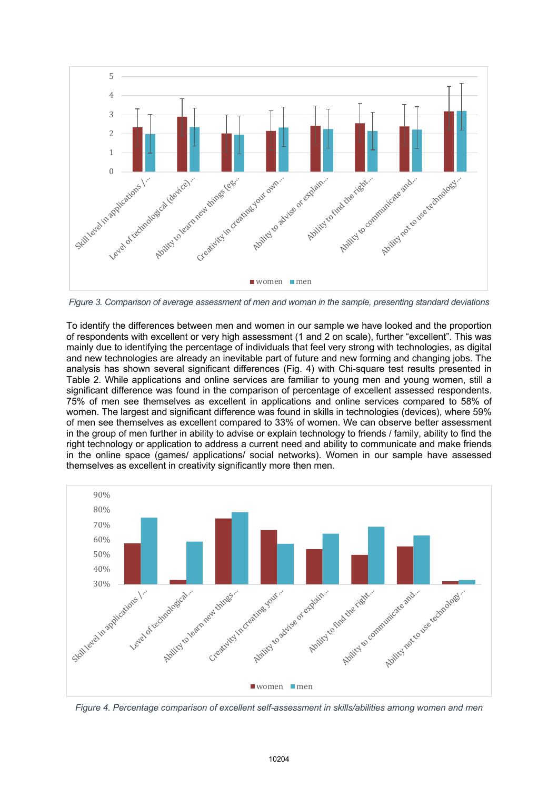

*Figure 3. Comparison of average assessment of men and woman in the sample, presenting standard deviations*

To identify the differences between men and women in our sample we have looked and the proportion of respondents with excellent or very high assessment (1 and 2 on scale), further "excellent". This was mainly due to identifying the percentage of individuals that feel very strong with technologies, as digital and new technologies are already an inevitable part of future and new forming and changing jobs. The analysis has shown several significant differences (Fig. 4) with Chi-square test results presented in Table 2. While applications and online services are familiar to young men and young women, still a significant difference was found in the comparison of percentage of excellent assessed respondents. 75% of men see themselves as excellent in applications and online services compared to 58% of women. The largest and significant difference was found in skills in technologies (devices), where 59% of men see themselves as excellent compared to 33% of women. We can observe better assessment in the group of men further in ability to advise or explain technology to friends / family, ability to find the right technology or application to address a current need and ability to communicate and make friends in the online space (games/ applications/ social networks). Women in our sample have assessed themselves as excellent in creativity significantly more then men.



*Figure 4. Percentage comparison of excellent self-assessment in skills/abilities among women and men*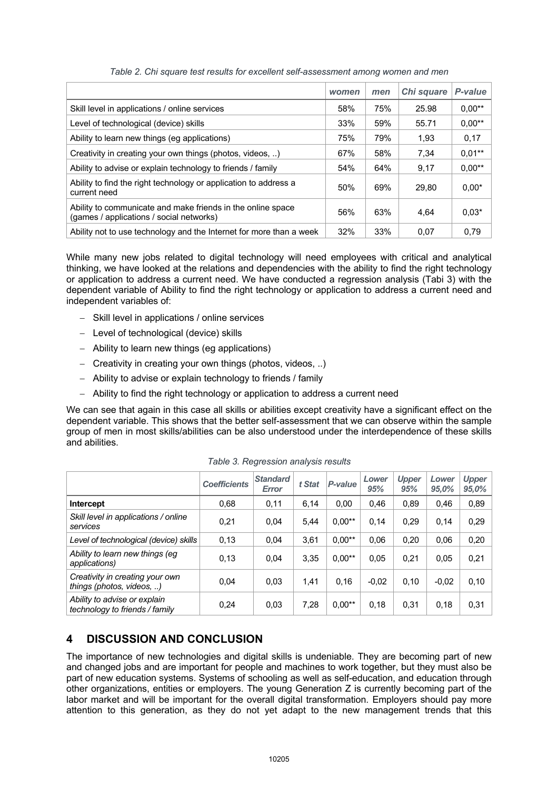|                                                                                                         | women | men | Chi square | P-value     |
|---------------------------------------------------------------------------------------------------------|-------|-----|------------|-------------|
| Skill level in applications / online services                                                           | 58%   | 75% | 25.98      | $0,00^{**}$ |
| Level of technological (device) skills                                                                  | 33%   | 59% | 55.71      | $0,00**$    |
| Ability to learn new things (eg applications)                                                           | 75%   | 79% | 1,93       | 0,17        |
| Creativity in creating your own things (photos, videos, )                                               | 67%   | 58% | 7,34       | $0.01***$   |
| Ability to advise or explain technology to friends / family                                             | 54%   | 64% | 9,17       | $0.00**$    |
| Ability to find the right technology or application to address a<br>current need                        | 50%   | 69% | 29.80      | $0,00*$     |
| Ability to communicate and make friends in the online space<br>(games / applications / social networks) | 56%   | 63% | 4.64       | $0.03*$     |
| Ability not to use technology and the Internet for more than a week                                     | 32%   | 33% | 0.07       | 0.79        |

*Table 2. Chi square test results for excellent self-assessment among women and men* 

While many new jobs related to digital technology will need employees with critical and analytical thinking, we have looked at the relations and dependencies with the ability to find the right technology or application to address a current need. We have conducted a regression analysis (Tabi 3) with the dependent variable of Ability to find the right technology or application to address a current need and independent variables of:

- Skill level in applications / online services
- Level of technological (device) skills
- Ability to learn new things (eg applications)
- Creativity in creating your own things (photos, videos, ..)
- Ability to advise or explain technology to friends / family
- Ability to find the right technology or application to address a current need

We can see that again in this case all skills or abilities except creativity have a significant effect on the dependent variable. This shows that the better self-assessment that we can observe within the sample group of men in most skills/abilities can be also understood under the interdependence of these skills and abilities.

|                                                                | <b>Coefficients</b> | <b>Standard</b><br><b>Error</b> | t Stat | P-value  | Lower<br>95% | <b>Upper</b><br>95% | Lower<br>95,0% | <b>Upper</b><br>95,0% |
|----------------------------------------------------------------|---------------------|---------------------------------|--------|----------|--------------|---------------------|----------------|-----------------------|
| <b>Intercept</b>                                               | 0,68                | 0,11                            | 6,14   | 0.00     | 0,46         | 0,89                | 0,46           | 0,89                  |
| Skill level in applications / online<br>services               | 0,21                | 0,04                            | 5.44   | $0,00**$ | 0.14         | 0.29                | 0,14           | 0,29                  |
| Level of technological (device) skills                         | 0,13                | 0.04                            | 3.61   | $0.00**$ | 0.06         | 0.20                | 0.06           | 0,20                  |
| Ability to learn new things (eg<br>applications)               | 0.13                | 0,04                            | 3.35   | $0,00**$ | 0,05         | 0.21                | 0.05           | 0,21                  |
| Creativity in creating your own<br>things (photos, videos, )   | 0,04                | 0,03                            | 1,41   | 0.16     | $-0.02$      | 0,10                | $-0.02$        | 0,10                  |
| Ability to advise or explain<br>technology to friends / family | 0,24                | 0,03                            | 7,28   | $0,00**$ | 0.18         | 0,31                | 0.18           | 0,31                  |

*Table 3. Regression analysis results*

## **4 DISCUSSION AND CONCLUSION**

The importance of new technologies and digital skills is undeniable. They are becoming part of new and changed jobs and are important for people and machines to work together, but they must also be part of new education systems. Systems of schooling as well as self-education, and education through other organizations, entities or employers. The young Generation Z is currently becoming part of the labor market and will be important for the overall digital transformation. Employers should pay more attention to this generation, as they do not yet adapt to the new management trends that this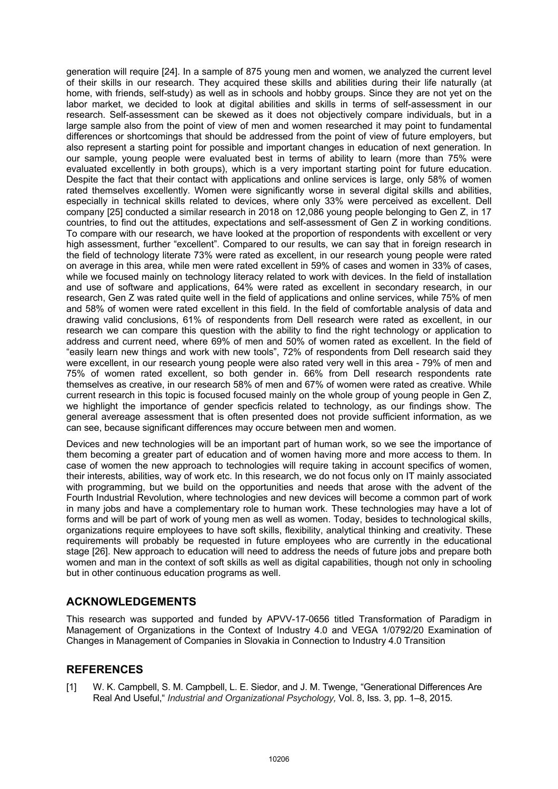generation will require [24]. In a sample of 875 young men and women, we analyzed the current level of their skills in our research. They acquired these skills and abilities during their life naturally (at home, with friends, self-study) as well as in schools and hobby groups. Since they are not yet on the labor market, we decided to look at digital abilities and skills in terms of self-assessment in our research. Self-assessment can be skewed as it does not objectively compare individuals, but in a large sample also from the point of view of men and women researched it may point to fundamental differences or shortcomings that should be addressed from the point of view of future employers, but also represent a starting point for possible and important changes in education of next generation. In our sample, young people were evaluated best in terms of ability to learn (more than 75% were evaluated excellently in both groups), which is a very important starting point for future education. Despite the fact that their contact with applications and online services is large, only 58% of women rated themselves excellently. Women were significantly worse in several digital skills and abilities, especially in technical skills related to devices, where only 33% were perceived as excellent. Dell company [25] conducted a similar research in 2018 on 12,086 young people belonging to Gen Z, in 17 countries, to find out the attitudes, expectations and self-assessment of Gen Z in working conditions. To compare with our research, we have looked at the proportion of respondents with excellent or very high assessment, further "excellent". Compared to our results, we can say that in foreign research in the field of technology literate 73% were rated as excellent, in our research young people were rated on average in this area, while men were rated excellent in 59% of cases and women in 33% of cases, while we focused mainly on technology literacy related to work with devices. In the field of installation and use of software and applications, 64% were rated as excellent in secondary research, in our research, Gen Z was rated quite well in the field of applications and online services, while 75% of men and 58% of women were rated excellent in this field. In the field of comfortable analysis of data and drawing valid conclusions, 61% of respondents from Dell research were rated as excellent, in our research we can compare this question with the ability to find the right technology or application to address and current need, where 69% of men and 50% of women rated as excellent. In the field of "easily learn new things and work with new tools", 72% of respondents from Dell research said they were excellent, in our research young people were also rated very well in this area - 79% of men and 75% of women rated excellent, so both gender in. 66% from Dell research respondents rate themselves as creative, in our research 58% of men and 67% of women were rated as creative. While current research in this topic is focused focused mainly on the whole group of young people in Gen Z, we highlight the importance of gender specficis related to technology, as our findings show. The general avereage assessment that is often presented does not provide sufficient information, as we can see, because significant differences may occure between men and women.

Devices and new technologies will be an important part of human work, so we see the importance of them becoming a greater part of education and of women having more and more access to them. In case of women the new approach to technologies will require taking in account specifics of women, their interests, abilities, way of work etc. In this research, we do not focus only on IT mainly associated with programming, but we build on the opportunities and needs that arose with the advent of the Fourth Industrial Revolution, where technologies and new devices will become a common part of work in many jobs and have a complementary role to human work. These technologies may have a lot of forms and will be part of work of young men as well as women. Today, besides to technological skills, organizations require employees to have soft skills, flexibility, analytical thinking and creativity. These requirements will probably be requested in future employees who are currently in the educational stage [26]. New approach to education will need to address the needs of future jobs and prepare both women and man in the context of soft skills as well as digital capabilities, though not only in schooling but in other continuous education programs as well.

### **ACKNOWLEDGEMENTS**

This research was supported and funded by APVV-17-0656 titled Transformation of Paradigm in Management of Organizations in the Context of Industry 4.0 and VEGA 1/0792/20 Examination of Changes in Management of Companies in Slovakia in Connection to Industry 4.0 Transition

### **REFERENCES**

[1] W. K. Campbell, S. M. Campbell, L. E. Siedor, and J. M. Twenge, "Generational Differences Are Real And Useful," *Industrial and Organizational Psychology,* Vol. 8, Iss. 3, pp. 1–8, 2015.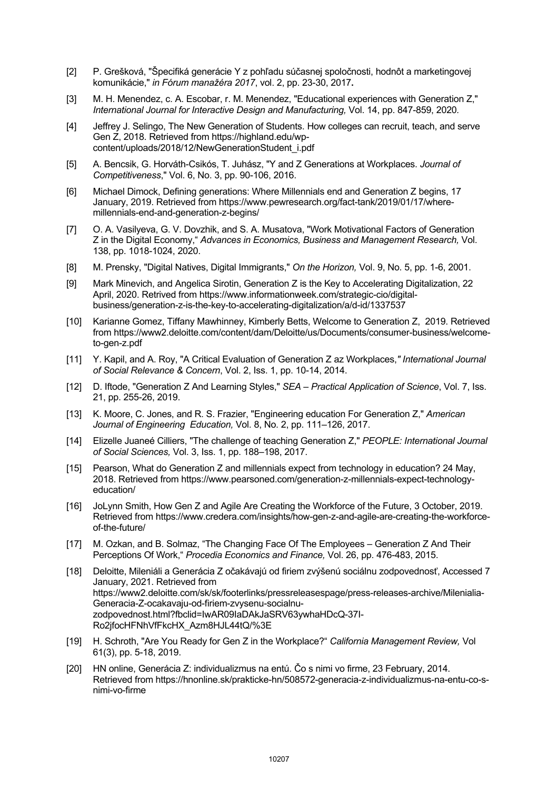- [2] P. Grešková, "Špecifiká generácie Y z pohľadu súčasnej spoločnosti, hodnôt a marketingovej komunikácie,ʺ *in Fórum manažéra 2017*, vol. 2, pp. 23-30, 2017**.**
- [3] M. H. Menendez, c. A. Escobar, r. M. Menendez, "Educational experiences with Generation Z," *International Journal for Interactive Design and Manufacturing,* Vol. 14, pp. 847-859, 2020*.*
- [4] Jeffrey J. Selingo, The New Generation of Students. How colleges can recruit, teach, and serve Gen Z, 2018. Retrieved from https://highland.edu/wpcontent/uploads/2018/12/NewGenerationStudent\_i.pdf
- [5] A. Bencsik, G. Horváth-Csikós, T. Juhász, ʺY and Z Generations at Workplaces. *Journal of Competitiveness*,ʺ Vol. 6, No. 3, pp. 90-106, 2016.
- [6] Michael Dimock, Defining generations: Where Millennials end and Generation Z begins, 17 January, 2019. Retrieved from https://www.pewresearch.org/fact-tank/2019/01/17/wheremillennials-end-and-generation-z-begins/
- [7] O. A. Vasilyeva, G. V. Dovzhik, and S. A. Musatova, "Work Motivational Factors of Generation Z in the Digital Economy," *Advances in Economics, Business and Management Research,* Vol. 138, pp. 1018-1024, 2020.
- [8] M. Prensky, "Digital Natives, Digital Immigrants," On the Horizon, Vol. 9, No. 5, pp. 1-6, 2001.
- [9] Mark Minevich, and Angelica Sirotin, Generation Z is the Key to Accelerating Digitalization, 22 April, 2020. Retrived from https://www.informationweek.com/strategic-cio/digitalbusiness/generation-z-is-the-key-to-accelerating-digitalization/a/d-id/1337537
- [10] Karianne Gomez, Tiffany Mawhinney, Kimberly Betts, Welcome to Generation Z, 2019. Retrieved from https://www2.deloitte.com/content/dam/Deloitte/us/Documents/consumer-business/welcometo-gen-z.pdf
- [11] Y. Kapil, and A. Roy, "A Critical Evaluation of Generation Z az Workplaces," International Journal *of Social Relevance & Concern*, Vol. 2, Iss. 1, pp. 10-14, 2014.
- [12] D. Iftode, "Generation Z And Learning Styles," *SEA Practical Application of Science*, Vol. 7, Iss. 21, pp. 255-26, 2019.
- [13] K. Moore, C. Jones, and R. S. Frazier, "Engineering education For Generation Z," American *Journal of Engineering Education,* Vol. 8, No. 2, pp. 111–126, 2017.
- [14] Elizelle Juaneé Cilliers, "The challenge of teaching Generation Z," PEOPLE: International Journal *of Social Sciences,* Vol. 3, Iss. 1, pp. 188–198, 2017.
- [15] Pearson, What do Generation Z and millennials expect from technology in education? 24 May, 2018. Retrieved from https://www.pearsoned.com/generation-z-millennials-expect-technologyeducation/
- [16] JoLynn Smith, How Gen Z and Agile Are Creating the Workforce of the Future, 3 October, 2019. Retrieved from https://www.credera.com/insights/how-gen-z-and-agile-are-creating-the-workforceof-the-future/
- [17] M. Ozkan, and B. Solmaz, "The Changing Face Of The Employees Generation Z And Their Perceptions Of Work," *Procedia Economics and Finance,* Vol. 26, pp. 476-483, 2015.
- [18] Deloitte, Mileniáli a Generácia Z očakávajú od firiem zvýšenú sociálnu zodpovednosť, Accessed 7 January, 2021. Retrieved from https://www2.deloitte.com/sk/sk/footerlinks/pressreleasespage/press-releases-archive/Milenialia-Generacia-Z-ocakavaju-od-firiem-zvysenu-socialnuzodpovednost.html?fbclid=IwAR09IaDAkJaSRV63ywhaHDcQ-37I-Ro2jfocHFNhVfFkcHX\_Azm8HJL44tQ/%3E
- [19] H. Schroth, "Are You Ready for Gen Z in the Workplace?" *California Management Review*, Vol 61(3), pp. 5-18, 2019.
- [20] HN online, Generácia Z: individualizmus na entú. Čo s nimi vo firme, 23 February, 2014. Retrieved from https://hnonline.sk/prakticke-hn/508572-generacia-z-individualizmus-na-entu-co-snimi-vo-firme